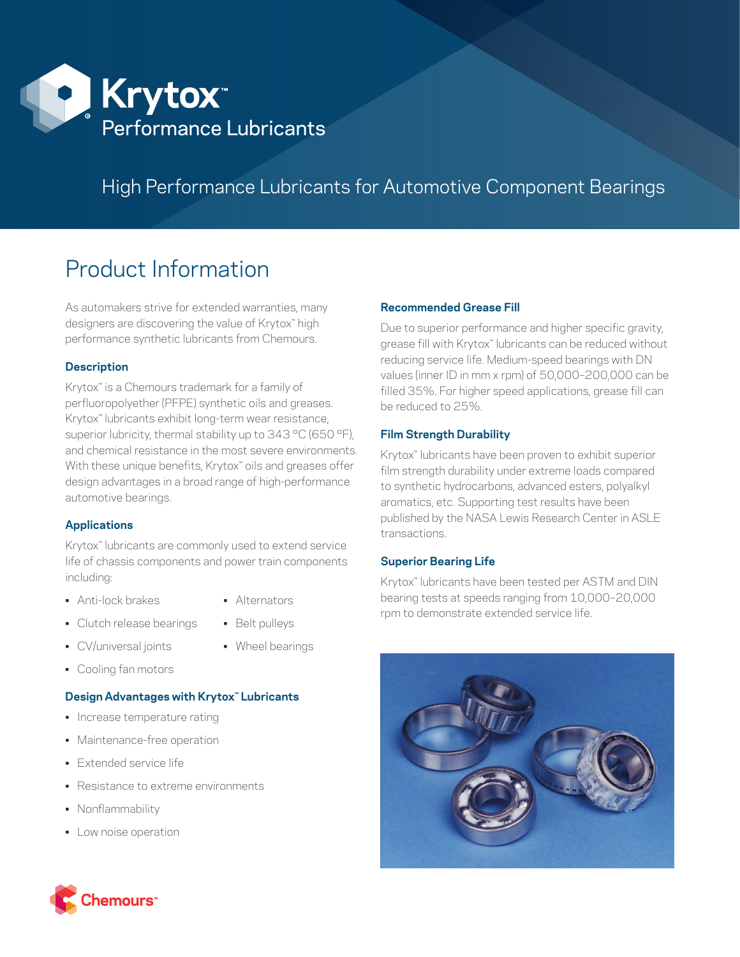

# High Performance Lubricants for Automotive Component Bearings

# Product Information

As automakers strive for extended warranties, many designers are discovering the value of Krytox™ high performance synthetic lubricants from Chemours.

# **Description**

Krytox™ is a Chemours trademark for a family of perfluoropolyether (PFPE) synthetic oils and greases. Krytox<sup>™</sup> lubricants exhibit long-term wear resistance, superior lubricity, thermal stability up to 343 °C (650 °F), and chemical resistance in the most severe environments. With these unique benefits, Krytox<sup>™</sup> oils and greases offer design advantages in a broad range of high-performance automotive bearings.

# **Applications**

Krytox<sup>™</sup> lubricants are commonly used to extend service life of chassis components and power train components including:

- Anti-lock brakes Alternators
- 
- Clutch release bearings Belt pulleys
- CV/universal joints Wheel bearings
- 
- Cooling fan motors

#### **Design Advantages with Krytox™ Lubricants**

- Increase temperature rating
- Maintenance-free operation
- Extended service life
- Resistance to extreme environments
- Nonflammability
- Low noise operation

# **Recommended Grease Fill**

Due to superior performance and higher specific gravity, grease fill with Krytox™ lubricants can be reduced without reducing service life. Medium-speed bearings with DN values (inner ID in mm x rpm) of 50,000–200,000 can be filled 35%. For higher speed applications, grease fill can be reduced to 25%.

# **Film Strength Durability**

Krytox™ lubricants have been proven to exhibit superior film strength durability under extreme loads compared to synthetic hydrocarbons, advanced esters, polyalkyl aromatics, etc. Supporting test results have been published by the NASA Lewis Research Center in ASLE transactions.

#### **Superior Bearing Life**

Krytox<sup>™</sup> lubricants have been tested per ASTM and DIN bearing tests at speeds ranging from 10,000–20,000 rpm to demonstrate extended service life.